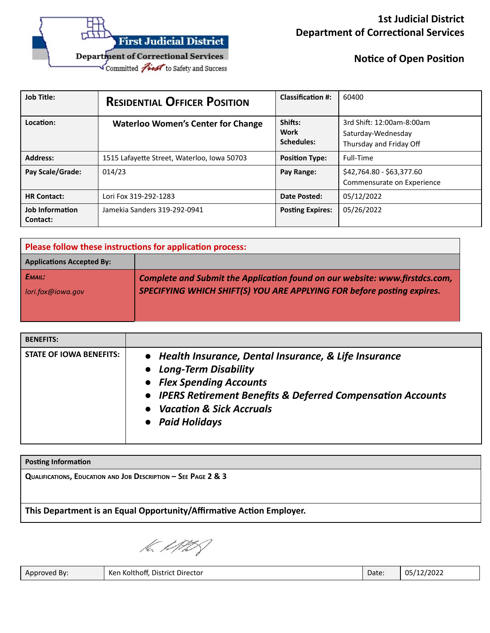

**Notice of Open Position** 

| <b>Job Title:</b>                  | <b>RESIDENTIAL OFFICER POSITION</b>         | <b>Classification #:</b>      | 60400                                                                      |
|------------------------------------|---------------------------------------------|-------------------------------|----------------------------------------------------------------------------|
| Location:                          | <b>Waterloo Women's Center for Change</b>   | Shifts:<br>Work<br>Schedules: | 3rd Shift: 12:00am-8:00am<br>Saturday-Wednesday<br>Thursday and Friday Off |
| <b>Address:</b>                    | 1515 Lafayette Street, Waterloo, Iowa 50703 | <b>Position Type:</b>         | Full-Time                                                                  |
| Pay Scale/Grade:                   | 014/23                                      | Pay Range:                    | \$42,764.80 - \$63,377.60<br>Commensurate on Experience                    |
| <b>HR Contact:</b>                 | Lori Fox 319-292-1283                       | Date Posted:                  | 05/12/2022                                                                 |
| <b>Job Information</b><br>Contact: | Jamekia Sanders 319-292-0941                | <b>Posting Expires:</b>       | 05/26/2022                                                                 |

| Please follow these instructions for application process: |                                                                             |  |
|-----------------------------------------------------------|-----------------------------------------------------------------------------|--|
| <b>Applications Accepted By:</b>                          |                                                                             |  |
| E <sub>MAIL</sub> :                                       | Complete and Submit the Application found on our website: www.firstdcs.com, |  |
| lori.fox@iowa.gov                                         | SPECIFYING WHICH SHIFT(S) YOU ARE APPLYING FOR before posting expires.      |  |
|                                                           |                                                                             |  |

| <b>BENEFITS:</b>        |                                                                                                                                                                                                                                        |
|-------------------------|----------------------------------------------------------------------------------------------------------------------------------------------------------------------------------------------------------------------------------------|
| STATE OF IOWA BENEFITS: | • Health Insurance, Dental Insurance, & Life Insurance<br>• Long-Term Disability<br>• Flex Spending Accounts<br>• IPERS Retirement Benefits & Deferred Compensation Accounts<br><b>Vacation &amp; Sick Accruals</b><br>• Paid Holidays |

| QUALIFICATIONS, EDUCATION AND JOB DESCRIPTION $-$ SEE PAGE 2 & 3     |  |
|----------------------------------------------------------------------|--|
|                                                                      |  |
| This Department is an Equal Opportunity/Affirmative Action Employer. |  |

la UMS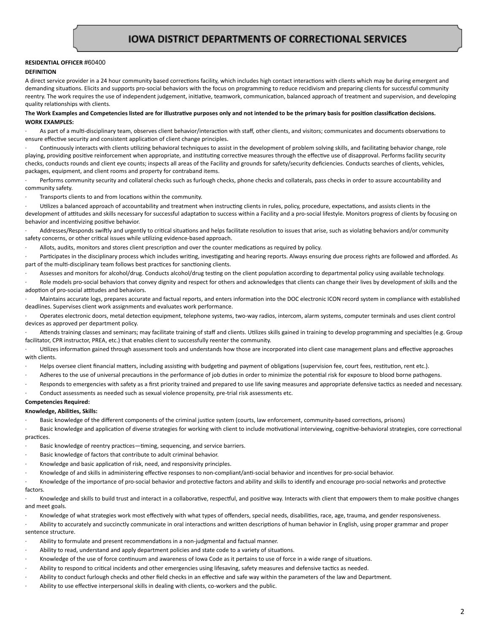#### **RESIDENTIAL OFFICER** #60400 **DEFINITION**

A direct service provider in a 24 hour community based corrections facility, which includes high contact interactions with clients which may be during emergent and demanding situations. Elicits and supports pro-social behaviors with the focus on programming to reduce recidivism and preparing clients for successful community reentry. The work requires the use of independent judgement, initiative, teamwork, communication, balanced approach of treatment and supervision, and developing quality relationships with clients.

# The Work Examples and Competencies listed are for illustrative purposes only and not intended to be the primary basis for position classification decisions. **WORK EXAMPLES:**

As part of a multi-disciplinary team, observes client behavior/interaction with staff, other clients, and visitors; communicates and documents observations to ensure effective security and consistent application of client change principles.

Continuously interacts with clients utilizing behavioral techniques to assist in the development of problem solving skills, and facilitating behavior change, role playing, providing positive reinforcement when appropriate, and instituting corrective measures through the effective use of disapproval. Performs facility security checks, conducts rounds and client eye counts; inspects all areas of the Facility and grounds for safety/security deficiencies. Conducts searches of clients, vehicles, packages, equipment, and client rooms and property for contraband items.

Performs community security and collateral checks such as furlough checks, phone checks and collaterals, pass checks in order to assure accountability and community safety.

Transports clients to and from locations within the community.

Utilizes a balanced approach of accountability and treatment when instructing clients in rules, policy, procedure, expectations, and assists clients in the development of attitudes and skills necessary for successful adaptation to success within a Facility and a pro-social lifestyle. Monitors progress of clients by focusing on behavior and incentivizing positive behavior.

Addresses/Responds swiftly and urgently to critical situations and helps facilitate resolution to issues that arise, such as violating behaviors and/or community safety concerns, or other critical issues while utilizing evidence-based approach.

Allots, audits, monitors and stores client prescription and over the counter medications as required by policy.

Participates in the disciplinary process which includes writing, investigating and hearing reports. Always ensuring due process rights are followed and afforded. As part of the multi-disciplinary team follows best practices for sanctioning clients.

Assesses and monitors for alcohol/drug. Conducts alcohol/drug testing on the client population according to departmental policy using available technology.

Role models pro-social behaviors that convey dignity and respect for others and acknowledges that clients can change their lives by development of skills and the adoption of pro-social attitudes and behaviors.

Maintains accurate logs, prepares accurate and factual reports, and enters information into the DOC electronic ICON record system in compliance with established deadlines. Supervises client work assignments and evaluates work performance.

Operates electronic doors, metal detection equipment, telephone systems, two-way radios, intercom, alarm systems, computer terminals and uses client control devices as approved per department policy.

Attends training classes and seminars; may facilitate training of staff and clients. Utilizes skills gained in training to develop programming and specialties (e.g. Group facilitator, CPR instructor, PREA, etc.) that enables client to successfully reenter the community.

Utilizes information gained through assessment tools and understands how those are incorporated into client case management plans and effective approaches with clients.

- Helps oversee client financial matters, including assisting with budgeting and payment of obligations (supervision fee, court fees, restitution, rent etc.).
- Adheres to the use of universal precautions in the performance of job duties in order to minimize the potential risk for exposure to blood borne pathogens.
- Responds to emergencies with safety as a first priority trained and prepared to use life saving measures and appropriate defensive tactics as needed and necessary.
- Conduct assessments as needed such as sexual violence propensity, pre-trial risk assessments etc.

# **Competencies Required:**

# **Knowledge, Abilies, Skills:**

Basic knowledge of the different components of the criminal justice system (courts, law enforcement, community-based corrections, prisons)

Basic knowledge and application of diverse strategies for working with client to include motivational interviewing, cognitive-behavioral strategies, core correctional practices.

- Basic knowledge of reentry practices—timing, sequencing, and service barriers.
- Basic knowledge of factors that contribute to adult criminal behavior.
- Knowledge and basic application of risk, need, and responsivity principles.
- Knowledge of and skills in administering effective responses to non-compliant/anti-social behavior and incentives for pro-social behavior.
- Knowledge of the importance of pro-social behavior and protective factors and ability and skills to identify and encourage pro-social networks and protective factors.

Knowledge and skills to build trust and interact in a collaborative, respectful, and positive way. Interacts with client that empowers them to make positive changes and meet goals.

Knowledge of what strategies work most effectively with what types of offenders, special needs, disabilities, race, age, trauma, and gender responsiveness.

Ability to accurately and succinctly communicate in oral interactions and written descriptions of human behavior in English, using proper grammar and proper sentence structure.

- Ability to formulate and present recommendations in a non-judgmental and factual manner.
- Ability to read, understand and apply department policies and state code to a variety of situations.
- Knowledge of the use of force continuum and awareness of Iowa Code as it pertains to use of force in a wide range of situations.
- Ability to respond to critical incidents and other emergencies using lifesaving, safety measures and defensive tactics as needed.
- Ability to conduct furlough checks and other field checks in an effective and safe way within the parameters of the law and Department.
- Ability to use effective interpersonal skills in dealing with clients, co-workers and the public.